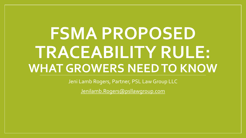# **FSMA PROPOSED TRACEABILITY RULE: WHAT GROWERS NEED TO KNOW**

Jeni Lamb Rogers, Partner, PSL Law Group LLC

[Jenilamb.Rogers@psllawgroup.com](mailto:Jenilamb.Rogers@psllawgroup.com)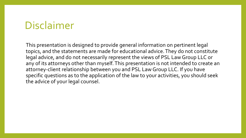#### Disclaimer

This presentation is designed to provide general information on pertinent legal topics, and the statements are made for educational advice. They do not constitute legal advice, and do not necessarily represent the views of PSL Law Group LLC or any of its attorneys other than myself. This presentation is not intended to create an attorney-client relationship between you and PSL Law Group LLC. If you have specific questions as to the application of the law to your activities, you should seek the advice of your legal counsel.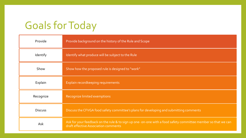### Goals for Today

| Provide        | Provide background on the history of the Rule and Scope                                                                                               |
|----------------|-------------------------------------------------------------------------------------------------------------------------------------------------------|
| Identify       | Identify what produce will be subject to the Rule                                                                                                     |
| Show           | Show how the proposed rule is designed to "work"                                                                                                      |
| Explain        | Explain recordkeeping requirements                                                                                                                    |
| Recognize      | Recognize limited exemptions                                                                                                                          |
| <b>Discuss</b> | Discuss the CFVGA food safety committee's plans for developing and submitting comments                                                                |
| Ask            | Ask for your feedback on the rule & to sign up one- on-one with a food safety committee member so that we can<br>draft effective Association comments |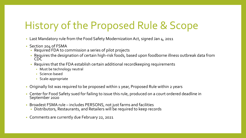#### History of the Proposed Rule & Scope

- Last Mandatory rule from the Food Safety Modernization Act, signed Jan 4, 2011
- Section 204 of FSMA
	- Required FDA to commission a series of pilot projects
	- Requires the designation of certain high-risk foods, based upon foodborne illness outbreak data from CDC
	- Requires that the FDA establish certain additional recordkeeping requirements
		- Must be technology neutral
		- Science-based
		- Scale-appropriate
- Originally list was required to be proposed within 1 year, Proposed Rule within 2 years
- Center for Food Safety sued for failing to issue this rule, produced on a court ordered deadline in September 2020
- Broadest FSMA rule includes PERSONS, not just farms and facilities
	- Distributors, Restaurants, and Retailers will be required to keep records
- Comments are currently due February 22, 2021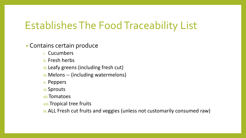#### Establishes The Food Traceability List

• Contains certain produce

- i. Cucumbers
- ii. Fresh herbs
- iii.Leafy greens (including fresh cut)
- iv.Melons -- (including watermelons)
- v. Peppers
- vi.Sprouts
- vii.Tomatoes
- viii.Tropical tree fruits
- ix.ALL Fresh cut fruits and veggies (unless not customarily consumed raw)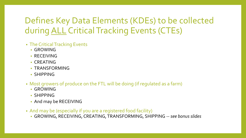#### Defines Key Data Elements (KDEs) to be collected during ALL Critical Tracking Events (CTEs)

- The Critical Tracking Events
	- GROWING
	- RECEIVING
	- CREATING
	- TRANSFORMING
	- SHIPPING
- Most growers of produce on the FTL will be doing (if regulated as a farm)
	- GROWING
	- SHIPPING
	- And may be RECEIVING
- And may be (especially if you are a registered food facility)
	- GROWING, RECEIVING, CREATING, TRANSFORMING, SHIPPING --*see bonus slides*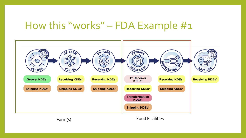#### How this "works" – FDA Example #1



Farm(s) Food Facilities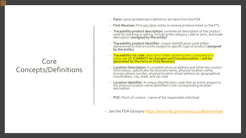#### Core Concepts/Definitions

- **Farm:** same (problematic) definition we have from the PSR
- **First-Receiver:** first non-farm entity to receive produce listed on the FTL
- **Traceability product description:** commercial description of the product used for stocking or selling, including the category code or term, and trade description **(assigned by the entity)**
- **Traceability product identifier:** unique identification code (often alphanumeric) that an entity assigns to specific type of product (**assigned by the entity**)
- **Traceability lot code:** descriptor (often alphanumeric) assigned to a particular lot **(CANNOT be changed until transformation – will be generated by the Farm or First Receiver)**
- **Location Description:** A complete physical address and other key contact information, specifically the business name, physical location name, primary phone number, physical location street address (or geographical coordinates), city, state, and zip code
- **Location Identifier:** A unique identification code that an entity assigns to the physical location name identified in the corresponding location description
- **POC:** Point of contact name of the responsible individual
- *See* the FDA Glossary<https://www.fda.gov/media/143468/download>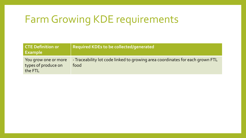#### Farm Growing KDE requirements

| <b>CTE Definition or</b><br><b>Example</b>             | Required KDEs to be collected/generated                                               |
|--------------------------------------------------------|---------------------------------------------------------------------------------------|
| You grow one or more<br>types of produce on<br>the FTL | - Traceability lot code linked to growing area coordinates for each grown FTL<br>food |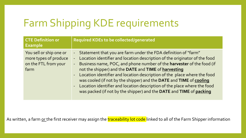## Farm Shipping KDE requirements

| <b>CTE Definition or</b><br><b>Example</b>                                       | <b>Required KDEs to be collected/generated</b>                                                                                                                                                                                                                                                                                                                                                                                                                                                                                                                                                                                        |
|----------------------------------------------------------------------------------|---------------------------------------------------------------------------------------------------------------------------------------------------------------------------------------------------------------------------------------------------------------------------------------------------------------------------------------------------------------------------------------------------------------------------------------------------------------------------------------------------------------------------------------------------------------------------------------------------------------------------------------|
| You sell or ship one or<br>more types of produce<br>on the FTL from your<br>farm | - Statement that you are farm under the FDA definition of "farm"<br>Location identifier and location description of the originator of the food<br>$\frac{1}{\sqrt{2}}$<br>- Business name, POC, and phone number of the harvester of the food (if<br>not the shipper) and the DATE and TIME of harvesting<br>Location identifier and location description of the place where the food<br>$\omega_{\rm c}$<br>was cooled (if not by the shipper) and the DATE and TIME of cooling<br>- Location identifier and location description of the place where the food<br>was packed (if not by the shipper) and the DATE and TIME of packing |

As written, a farm or the first receiver may assign the traceability lot code linked to all of the Farm Shipper information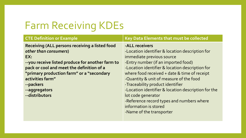### Farm Receiving KDEs

| <b>CTE Definition or Example</b>                      | Key Data Elements that must be collected            |
|-------------------------------------------------------|-----------------------------------------------------|
| <b>Receiving (ALL persons receiving a listed food</b> | -ALL receivers                                      |
| other than consumers)                                 | -Location identifier & location description for     |
| EX:                                                   | immediate previous source                           |
| --you receive listed produce for another farm to      | -Entry number (if an imported food)                 |
| pack or cool and meet the definition of a             | -Location identifier & location description for     |
| "primary production farm" or a "secondary             | where food received + date & time of receipt        |
| activities farm"                                      | -Quantity & unit of measure of the food             |
| --packers                                             | -Traceability product identifier                    |
| --aggregators                                         | -Location identifier & location description for the |
| --distributors                                        | lot code generator                                  |
|                                                       | -Reference record types and numbers where           |
|                                                       | information is stored                               |
|                                                       | -Name of the transporter                            |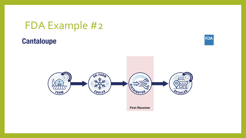#### FDA Example #2

#### **Cantaloupe**



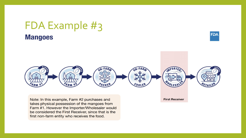#### FDA Example #3 **Mangoes**

**FDA** 



Note: In this example, Farm #2 purchases and takes physical possession of the mangoes from Farm #1. However the Importer/Wholesaler would be considered the First Receiver, since that is the first non-farm entity who receives the food.

**First Receiver**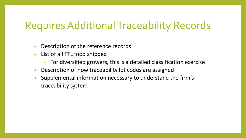#### Requires Additional Traceability Records

- Description of the reference records
- List of all FTL food shipped
	- For diversified growers, this is a detailed classification exercise
- Description of how traceability lot codes are assigned
- Supplemental information necessary to understand the firm's traceability system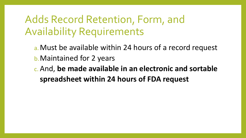#### Adds Record Retention, Form, and Availability Requirements

- a.Must be available within 24 hours of a record request b.Maintained for 2 years
- c. And, **be made available in an electronic and sortable spreadsheet within 24 hours of FDA request**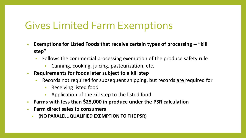#### Gives Limited Farm Exemptions

- **Exemptions for Listed Foods that receive certain types of processing -- "kill step"** 
	- Follows the commercial processing exemption of the produce safety rule
		- Canning, cooking, juicing, pasteurization, etc.
- **Requirements for foods later subject to a kill step**
	- Records not required for subsequent shipping, but records are required for
		- Receiving listed food
		- Application of the kill step to the listed food
- **Farms with less than \$25,000 in produce under the PSR calculation**
- **Farm direct sales to consumers** 
	- **(NO PARALELL QUALIFIED EXEMPTION TO THE PSR)**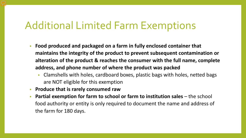#### Additional Limited Farm Exemptions

- **Food produced and packaged on a farm in fully enclosed container that maintains the integrity of the product to prevent subsequent contamination or alteration of the product & reaches the consumer with the full name, complete address, and phone number of where the product was packed**
	- Clamshells with holes, cardboard boxes, plastic bags with holes, netted bags are NOT eligible for this exemption
- **Produce that is rarely consumed raw**
- **Partial exemption for farm to school or farm to institution sales** the school food authority or entity is only required to document the name and address of the farm for 180 days.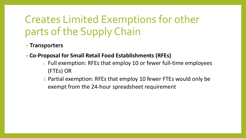## Creates Limited Exemptions for other parts of the Supply Chain

- **Transporters**
- **Co-Proposal for Small Retail Food Establishments (RFEs)**
	- i. Full exemption: RFEs that employ 10 or fewer full-time employees (FTEs) OR
	- ii. Partial exemption: RFEs that employ 10 fewer FTEs would only be exempt from the 24-hour spreadsheet requirement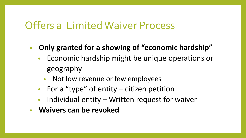#### Offers a Limited Waiver Process

- **Only granted for a showing of "economic hardship"** 
	- Economic hardship might be unique operations or geography
		- Not low revenue or few employees
	- For a "type" of entity citizen petition
	- Individual entity Written request for waiver
- **Waivers can be revoked**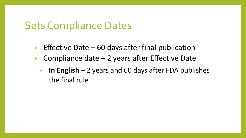#### Sets Compliance Dates

- Effective Date  $-60$  days after final publication
- Compliance date  $-2$  years after Effective Date
	- **In English**  2 years and 60 days after FDA publishes the final rule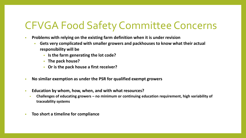#### CFVGA Food Safety Committee Concerns

- **Problems with relying on the existing farm definition when it is under revision**
	- **Gets very complicated with smaller growers and packhouses to know what their actual responsibility will be**
		- **Is the farm generating the lot code?**
		- **The pack house?**
		- **Or is the pack house a first receiver?**
- **No similar exemption as under the PSR for qualified exempt growers**
- **Education by whom, how, when, and with what resources?** 
	- **Challenges of educating growers – no minimum or continuing education requirement, high variability of traceability systems**
- **Too short a timeline for compliance**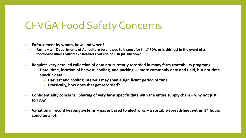#### CFVGA Food Safety Concerns

- **Enforcement by whom, how, and when?** 
	- **Farms – will Departments of Agriculture be allowed to inspect for this? FDA, or is this just in the event of a foodborne illness outbreak? Retailers outside of FDA jurisdiction?**
- **Requires very detailed collection of data not currently recorded in many farm traceability programs**
	- **Date, time, location of harvest, cooling, and packing --- more commonly date and field, but not time specific data**
		- **Harvest and cooling intervals may span a significant period of time**
		- **Practically, how does that get recorded?**
- **Confidentiality concerns: Sharing of very farm specific data with the entire supply chain – why not just to FDA?**
- **Variation in record keeping systems – paper based to electronic – a sortable spreadsheet within 24 hours could be a lot.**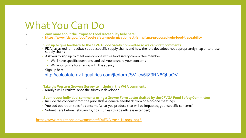#### What You Can Do

- 1. **Learn more about the Proposed Food Traceability Rule here:** 
	- **<https://www.fda.gov/food/food-safety-modernization-act-fsma/fsma-proposed-rule-food-traceability>**
- 2. **Sign up to give feedback to the CFVGA Food Safety Committee so we can draft comments**
	- FDA has asked for feedback about specific supply chains and how the rule does/does not appropriately map onto those supply chains
	- Ask you to sign up to meet one-on-one with a food safety committee member
		- We'll have specific questions, and ask you to share your concerns
		- Will anonymize for sharing with the agency.
	- Sign up here:

http://colostate.az1.qualtrics.com/jfe/form/SV\_ey5ijZ3RN8QhaOV

- 3. **Take the Western Growers Survey to include in the WGA comments** 
	- Marilyn will circulate once the survey is developed
- 
- 3. **Submit your individual comments using a Grower Form Letter drafted by the CFVGA Food Safety Committee**
	- Include the concerns from the prior slide & general feedback from one-on-one meetings
	- You add operation specific concerns (what you produce that will be impacted, your specific concerns)
	- Submit here before February 22, 2021 (unless this deadline is extended)

<https://www.regulations.gov/comment?D=FDA-2014-N-0053-0056>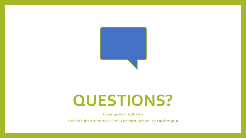

# **QUESTIONS?**

Please type into the Q&A box

Feel free to direct to me or any CFVGA Committee Member – We can all weigh in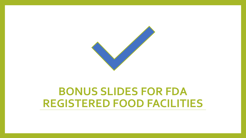

#### **BONUS SLIDES FOR FDA REGISTERED FOOD FACILITIES**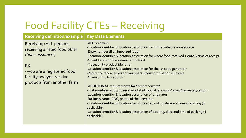## Food Facility CTEs – Receiving

#### **Receiving definition/example Key Data Elements**

Receiving (ALL persons receiving a listed food *other than consumers*)

#### EX:

--you are a registered food facility and you receive products from another farm

**-ALL receivers** -Location identifier & location description for immediate previous source -Entry number (if an imported food) -Location identifier & location description for where food received + date & time of receipt -Quantity & unit of measure of the food -Traceability product identifier -Location identifier & location description for the lot code generator -Reference record types and numbers where information is stored -Name of the transporter

#### -**ADDITIONAL requirements for "first receivers"**

- first non-farm entity to receive a listed food after grown/raised/harvested/caught

-Location identifier & location description of originator

-Business name, POC, phone of the harvester

-Location identifier & location description of cooling, date and time of cooling (if applicable)

-Location identifier & location description of packing, date and time of packing (if applicable)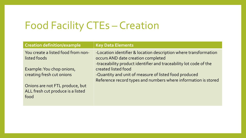## Food Facility CTEs – Creation

| <b>Creation definition/example</b>                 | <b>Key Data Elements</b>                                                                               |
|----------------------------------------------------|--------------------------------------------------------------------------------------------------------|
| You create a listed food from non-<br>listed foods | -Location identifier & location description where transformation<br>occurs AND date creation completed |
|                                                    | -traceability product identifier and traceability lot code of the                                      |
| Example: You chop onions,                          | created listed food                                                                                    |
| creating fresh cut onions                          | -Quantity and unit of measure of listed food produced                                                  |
|                                                    | Reference record types and numbers where information is stored                                         |
| Onions are not FTL produce, but                    |                                                                                                        |
| ALL fresh cut produce is a listed                  |                                                                                                        |
| food                                               |                                                                                                        |
|                                                    |                                                                                                        |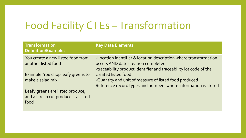#### Food Facility CTEs - Transformation

| <b>Transformation</b><br><b>Definition/Examples</b>                               | <b>Key Data Elements</b>                                                                                                                                                    |
|-----------------------------------------------------------------------------------|-----------------------------------------------------------------------------------------------------------------------------------------------------------------------------|
| You create a new listed food from<br>another listed food                          | -Location identifier & location description where transformation<br>occurs AND date creation completed<br>-traceability product identifier and traceability lot code of the |
| Example: You chop leafy greens to<br>make a salad mix                             | created listed food<br>-Quantity and unit of measure of listed food produced<br>Reference record types and numbers where information is stored                              |
| Leafy greens are listed produce,<br>and all fresh cut produce is a listed<br>food |                                                                                                                                                                             |